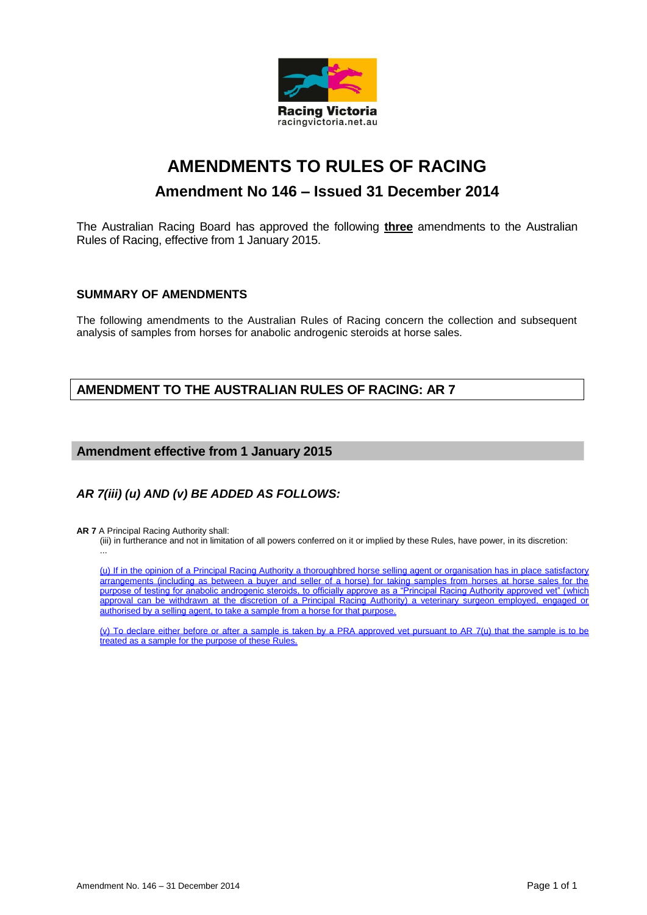

# **AMENDMENTS TO RULES OF RACING Amendment No 146 – Issued 31 December 2014**

The Australian Racing Board has approved the following **three** amendments to the Australian Rules of Racing, effective from 1 January 2015.

## **SUMMARY OF AMENDMENTS**

The following amendments to the Australian Rules of Racing concern the collection and subsequent analysis of samples from horses for anabolic androgenic steroids at horse sales.

# **AMENDMENT TO THE AUSTRALIAN RULES OF RACING: AR 7**

## **Amendment effective from 1 January 2015**

# *AR 7(iii) (u) AND (v) BE ADDED AS FOLLOWS:*

**AR 7** A Principal Racing Authority shall:

(iii) in furtherance and not in limitation of all powers conferred on it or implied by these Rules, have power, in its discretion: ...

(u) If in the opinion of a Principal Racing Authority a thoroughbred horse selling agent or organisation has in place satisfactory arrangements (including as between a buyer and seller of a horse) for taking samples from horses at horse sales for the purpose of testing for anabolic androgenic steroids, to officially approve as a "Principal Racing Authority approved vet" (which approval can be withdrawn at the discretion of a Principal Racing Authority) a veterinary surgeon employed, engaged or authorised by a selling agent, to take a sample from a horse for that purpose.

(v) To declare either before or after a sample is taken by a PRA approved vet pursuant to AR 7(u) that the sample is to be treated as a sample for the purpose of these Rules.